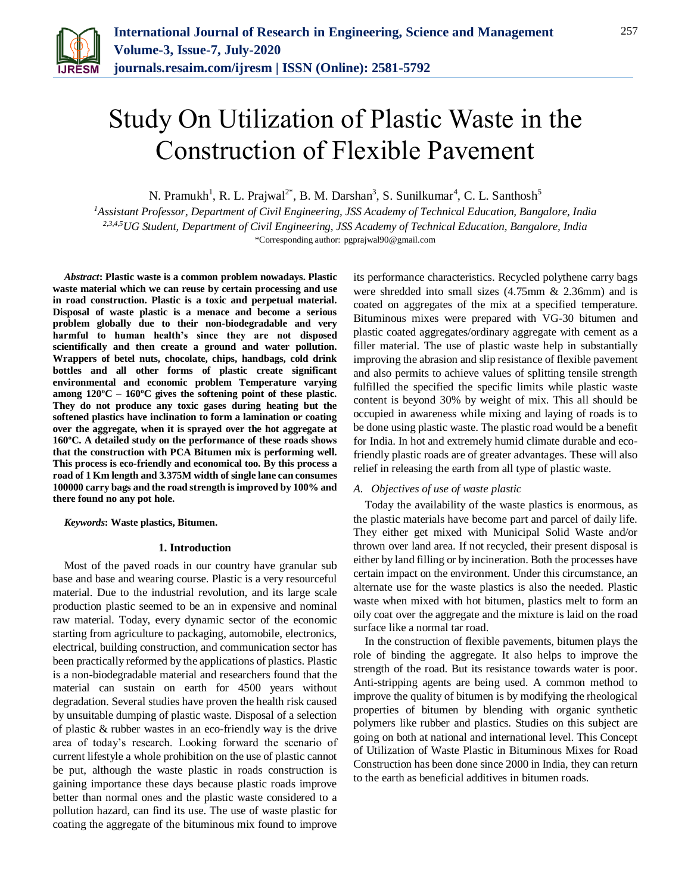

# Study On Utilization of Plastic Waste in the Construction of Flexible Pavement

N. Pramukh<sup>1</sup>, R. L. Prajwal<sup>2\*</sup>, B. M. Darshan<sup>3</sup>, S. Sunilkumar<sup>4</sup>, C. L. Santhosh<sup>5</sup>

*<sup>1</sup>Assistant Professor, Department of Civil Engineering, JSS Academy of Technical Education, Bangalore, India 2,3,4,5UG Student, Department of Civil Engineering, JSS Academy of Technical Education, Bangalore, India* \*Corresponding author: pgprajwal90@gmail.com

*Abstract***: Plastic waste is a common problem nowadays. Plastic waste material which we can reuse by certain processing and use in road construction. Plastic is a toxic and perpetual material. Disposal of waste plastic is a menace and become a serious problem globally due to their non-biodegradable and very harmful to human health's since they are not disposed scientifically and then create a ground and water pollution. Wrappers of betel nuts, chocolate, chips, handbags, cold drink bottles and all other forms of plastic create significant environmental and economic problem Temperature varying among 120ºC – 160ºC gives the softening point of these plastic. They do not produce any toxic gases during heating but the softened plastics have inclination to form a lamination or coating over the aggregate, when it is sprayed over the hot aggregate at 160ºC. A detailed study on the performance of these roads shows that the construction with PCA Bitumen mix is performing well. This process is eco-friendly and economical too. By this process a road of 1 Km length and 3.375M width of single lane can consumes 100000 carry bags and the road strength is improved by 100% and there found no any pot hole.**

*Keywords***: Waste plastics, Bitumen.**

#### **1. Introduction**

Most of the paved roads in our country have granular sub base and base and wearing course. Plastic is a very resourceful material. Due to the industrial revolution, and its large scale production plastic seemed to be an in expensive and nominal raw material. Today, every dynamic sector of the economic starting from agriculture to packaging, automobile, electronics, electrical, building construction, and communication sector has been practically reformed by the applications of plastics. Plastic is a non-biodegradable material and researchers found that the material can sustain on earth for 4500 years without degradation. Several studies have proven the health risk caused by unsuitable dumping of plastic waste. Disposal of a selection of plastic & rubber wastes in an eco-friendly way is the drive area of today's research. Looking forward the scenario of current lifestyle a whole prohibition on the use of plastic cannot be put, although the waste plastic in roads construction is gaining importance these days because plastic roads improve better than normal ones and the plastic waste considered to a pollution hazard, can find its use. The use of waste plastic for coating the aggregate of the bituminous mix found to improve

its performance characteristics. Recycled polythene carry bags were shredded into small sizes (4.75mm & 2.36mm) and is coated on aggregates of the mix at a specified temperature. Bituminous mixes were prepared with VG-30 bitumen and plastic coated aggregates/ordinary aggregate with cement as a filler material. The use of plastic waste help in substantially improving the abrasion and slip resistance of flexible pavement and also permits to achieve values of splitting tensile strength fulfilled the specified the specific limits while plastic waste content is beyond 30% by weight of mix. This all should be occupied in awareness while mixing and laying of roads is to be done using plastic waste. The plastic road would be a benefit for India. In hot and extremely humid climate durable and ecofriendly plastic roads are of greater advantages. These will also relief in releasing the earth from all type of plastic waste.

#### *A. Objectives of use of waste plastic*

Today the availability of the waste plastics is enormous, as the plastic materials have become part and parcel of daily life. They either get mixed with Municipal Solid Waste and/or thrown over land area. If not recycled, their present disposal is either by land filling or by incineration. Both the processes have certain impact on the environment. Under this circumstance, an alternate use for the waste plastics is also the needed. Plastic waste when mixed with hot bitumen, plastics melt to form an oily coat over the aggregate and the mixture is laid on the road surface like a normal tar road.

In the construction of flexible pavements, bitumen plays the role of binding the aggregate. It also helps to improve the strength of the road. But its resistance towards water is poor. Anti-stripping agents are being used. A common method to improve the quality of bitumen is by modifying the rheological properties of bitumen by blending with organic synthetic polymers like rubber and plastics. Studies on this subject are going on both at national and international level. This Concept of Utilization of Waste Plastic in Bituminous Mixes for Road Construction has been done since 2000 in India, they can return to the earth as beneficial additives in bitumen roads.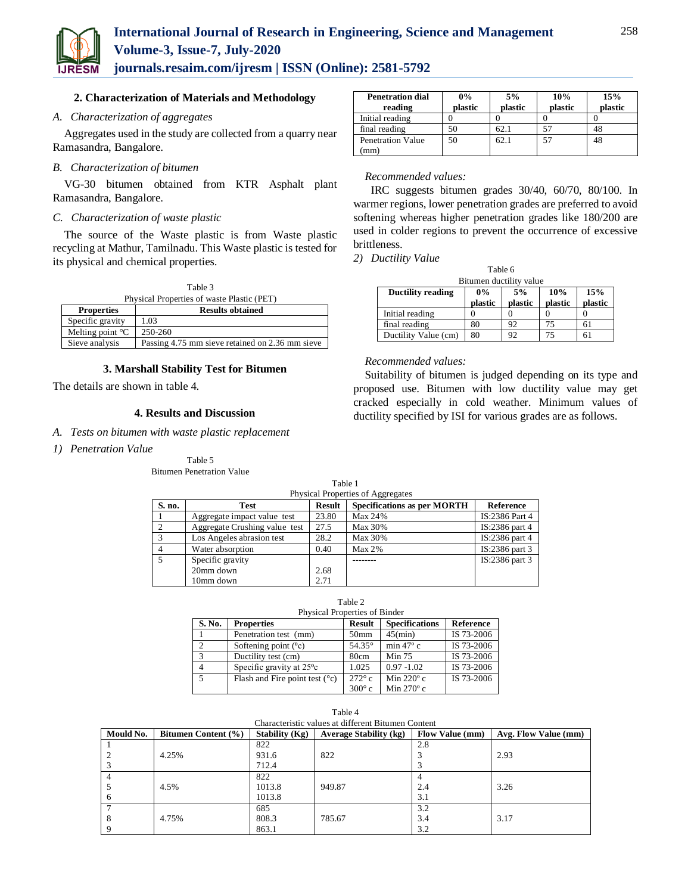

# **International Journal of Research in Engineering, Science and Management Volume-3, Issue-7, July-2020**

**journals.resaim.com/ijresm | ISSN (Online): 2581-5792** 

#### **2. Characterization of Materials and Methodology**

# *A. Characterization of aggregates*

Aggregates used in the study are collected from a quarry near Ramasandra, Bangalore.

# *B. Characterization of bitumen*

VG-30 bitumen obtained from KTR Asphalt plant Ramasandra, Bangalore.

#### *C. Characterization of waste plastic*

The source of the Waste plastic is from Waste plastic recycling at Mathur, Tamilnadu. This Waste plastic is tested for its physical and chemical properties.

| Table 3                                    |  |
|--------------------------------------------|--|
| Physical Properties of waste Plastic (PET) |  |

| <b>Properties</b>          | <b>Results obtained</b>                         |
|----------------------------|-------------------------------------------------|
| Specific gravity           | 1.03                                            |
| Melting point $\mathrm{C}$ | 250-260                                         |
| Sieve analysis             | Passing 4.75 mm sieve retained on 2.36 mm sieve |

#### **3. Marshall Stability Test for Bitumen**

The details are shown in table 4.

## **4. Results and Discussion**

- *A. Tests on bitumen with waste plastic replacement*
- *1) Penetration Value*

Table 5 Bitumen Penetration Value

| <b>Penetration dial</b><br>reading | $0\%$<br>plastic | 5%<br>plastic | 10%<br>plastic | 15%<br>plastic |
|------------------------------------|------------------|---------------|----------------|----------------|
| Initial reading                    |                  |               |                |                |
| final reading                      | 50               | 62.1          |                | 48             |
| <b>Penetration Value</b><br>(mm)   | 50               | 62.1          | 57             | 48             |

#### *Recommended values:*

 IRC suggests bitumen grades 30/40, 60/70, 80/100. In warmer regions, lower penetration grades are preferred to avoid softening whereas higher penetration grades like 180/200 are used in colder regions to prevent the occurrence of excessive brittleness.

*2) Ductility Value*

| Table 6                                               |         |         |         |         |  |  |
|-------------------------------------------------------|---------|---------|---------|---------|--|--|
| Bitumen ductility value                               |         |         |         |         |  |  |
| 10%<br>5%<br>15%<br>$0\%$<br><b>Ductility reading</b> |         |         |         |         |  |  |
|                                                       | plastic | plastic | plastic | plastic |  |  |
| Initial reading                                       |         |         |         |         |  |  |
| final reading                                         | 80      | 92      | 75      |         |  |  |
| Ductility Value (cm)                                  | 80      | 92      | 75      |         |  |  |

*Recommended values:*

Suitability of bitumen is judged depending on its type and proposed use. Bitumen with low ductility value may get cracked especially in cold weather. Minimum values of ductility specified by ISI for various grades are as follows.

|        | Table 1                           |               |                                    |                |  |  |
|--------|-----------------------------------|---------------|------------------------------------|----------------|--|--|
|        | Physical Properties of Aggregates |               |                                    |                |  |  |
| S. no. | Test                              | <b>Result</b> | <b>Specifications as per MORTH</b> | Reference      |  |  |
|        | Aggregate impact value test       | 23.80         | Max 24%                            | IS:2386 Part 4 |  |  |
| 2      | Aggregate Crushing value test     | 27.5          | Max 30%                            | IS:2386 part 4 |  |  |
| 3      | Los Angeles abrasion test         | 28.2          | Max 30%                            | IS:2386 part 4 |  |  |
|        | Water absorption                  | 0.40          | $Max 2\%$                          | IS:2386 part 3 |  |  |
| 5      | Specific gravity                  |               |                                    | IS:2386 part 3 |  |  |
|        | 20mm down                         | 2.68          |                                    |                |  |  |
|        | 10mm down                         | 2.71          |                                    |                |  |  |

### Table 2

| Physical Properties of Binder |                                         |                  |                       |            |  |
|-------------------------------|-----------------------------------------|------------------|-----------------------|------------|--|
| S. No.                        | <b>Properties</b>                       | <b>Result</b>    | <b>Specifications</b> | Reference  |  |
|                               | Penetration test (mm)                   | 50 <sub>mm</sub> | $45$ (min)            | IS 73-2006 |  |
| $\overline{2}$                | Softening point $(^{0}c)$               | $54.35^{\circ}$  | min $47^\circ$ c      | IS 73-2006 |  |
| 3                             | Ductility test (cm)                     | 80cm             | Min 75                | IS 73-2006 |  |
| $\overline{4}$                | Specific gravity at 25 <sup>o</sup> c   | 1.025            | $0.97 - 1.02$         | IS 73-2006 |  |
| $\overline{5}$                | Flash and Fire point test $(^{\circ}c)$ | $272^\circ c$    | Min $220^\circ$ c     | IS 73-2006 |  |
|                               |                                         | $300^{\circ}$ c  | Min $270^\circ$ c     |            |  |

| Characteristic values at different Bitumen Content |                            |                       |                               |                        |                      |
|----------------------------------------------------|----------------------------|-----------------------|-------------------------------|------------------------|----------------------|
| Mould No.                                          | <b>Bitumen Content</b> (%) | <b>Stability (Kg)</b> | <b>Average Stability (kg)</b> | <b>Flow Value (mm)</b> | Avg. Flow Value (mm) |
|                                                    |                            | 822                   |                               | 2.8                    |                      |
|                                                    | 4.25%                      | 931.6                 | 822                           |                        | 2.93                 |
|                                                    |                            | 712.4                 |                               |                        |                      |
|                                                    |                            | 822                   |                               |                        |                      |
|                                                    | 4.5%                       | 1013.8                | 949.87                        | 2.4                    | 3.26                 |
| 6                                                  |                            | 1013.8                |                               | 3.1                    |                      |
|                                                    |                            | 685                   |                               | 3.2                    |                      |
| 8                                                  | 4.75%                      | 808.3                 | 785.67                        | 3.4                    | 3.17                 |
|                                                    |                            | 863.1                 |                               | 3.2                    |                      |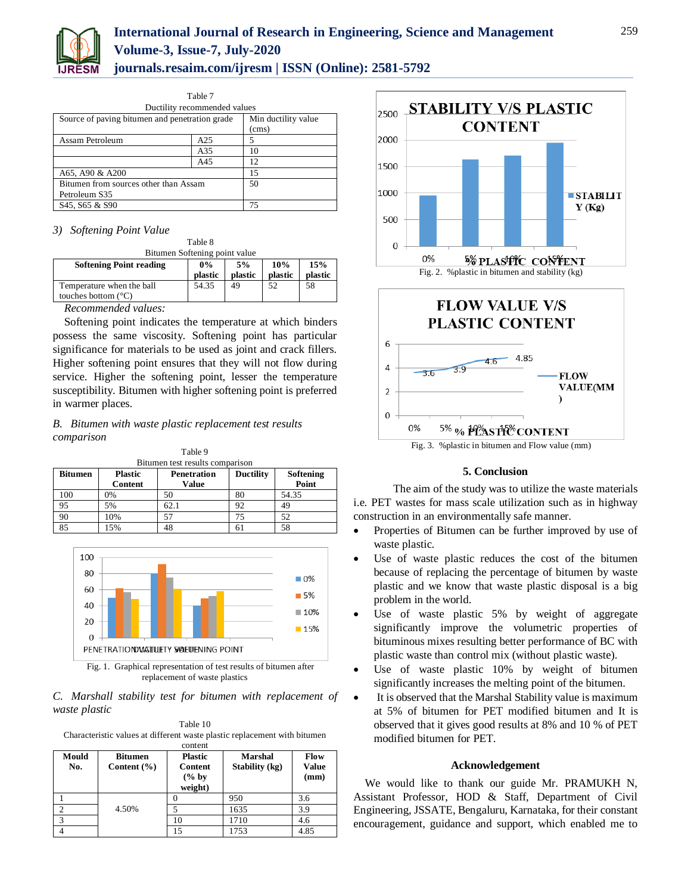

|                                                     | тане т |                     |  |  |
|-----------------------------------------------------|--------|---------------------|--|--|
| Ductility recommended values                        |        |                     |  |  |
| Source of paving bitumen and penetration grade      |        | Min ductility value |  |  |
|                                                     |        | (cms)               |  |  |
| Assam Petroleum                                     | A25    | 5                   |  |  |
|                                                     | A35    | 10                  |  |  |
|                                                     | A45    | 12                  |  |  |
| A65, A90 & A200                                     | 15     |                     |  |  |
| Bitumen from sources other than Assam               | 50     |                     |  |  |
| Petroleum S35                                       |        |                     |  |  |
| S <sub>45</sub> , S <sub>65</sub> & S <sub>90</sub> |        | 75                  |  |  |

 $T_1$   $T_2$ 

#### *3) Softening Point Value*

Table 8 Bitumen Softening point value

| $D$ <sub>t</sub> and $D$ <sub>t</sub> $D$ <sub>t</sub> $D$ <sub>t</sub> $D$ <sub>t</sub> $D$ <sub>t</sub> $D$ <sub>t</sub> $D$ <sub>t</sub> $D$ <sub>t</sub> $D$ <sub>t</sub> $D$ <sub>t</sub> $D$ <sub>t</sub> $D$ <sub>t</sub> $D$ <sub>t</sub> $D$ <sub>t</sub> $D$ <sub>t</sub> $D$ <sub>t</sub> $D$ <sub>t</sub> $D$ <sub>t</sub> $D$ <sub>t</sub> $D$ <sub>t</sub> $D$ <sub>t</sub> $D$ <sub>t</sub> $D$ <sub>t</sub> $D$ <sub>t</sub> $D$ <sub>t</sub> $D$ <sub>t</sub> $D$ <sub>t</sub> $D$ <sub>t</sub> $D$ <sub>t</sub> $D$ <sub>t</sub> |         |         |         |         |  |
|----------------------------------------------------------------------------------------------------------------------------------------------------------------------------------------------------------------------------------------------------------------------------------------------------------------------------------------------------------------------------------------------------------------------------------------------------------------------------------------------------------------------------------------------------|---------|---------|---------|---------|--|
| <b>Softening Point reading</b>                                                                                                                                                                                                                                                                                                                                                                                                                                                                                                                     | $0\%$   | 5%      | 10%     | 15%     |  |
|                                                                                                                                                                                                                                                                                                                                                                                                                                                                                                                                                    | plastic | plastic | plastic | plastic |  |
| Temperature when the ball                                                                                                                                                                                                                                                                                                                                                                                                                                                                                                                          | 54.35   | 49      | 52      | 58      |  |
| touches bottom $(^{\circ}C)$                                                                                                                                                                                                                                                                                                                                                                                                                                                                                                                       |         |         |         |         |  |
| $\overline{\phantom{a}}$                                                                                                                                                                                                                                                                                                                                                                                                                                                                                                                           |         |         |         |         |  |

*Recommended values:*

Softening point indicates the temperature at which binders possess the same viscosity. Softening point has particular significance for materials to be used as joint and crack fillers. Higher softening point ensures that they will not flow during service. Higher the softening point, lesser the temperature susceptibility. Bitumen with higher softening point is preferred in warmer places.

*B. Bitumen with waste plastic replacement test results comparison*

| Table 9<br>Bitumen test results comparison |                                  |                                    |                  |                    |  |  |
|--------------------------------------------|----------------------------------|------------------------------------|------------------|--------------------|--|--|
| <b>Bitumen</b>                             | <b>Plastic</b><br><b>Content</b> | <b>Penetration</b><br><b>Value</b> | <b>Ductility</b> | Softening<br>Point |  |  |
| 100                                        | 0%                               | 50                                 | 80               | 54.35              |  |  |
| 95                                         | 5%                               | 62.1                               | 92               | 49                 |  |  |
| 90                                         | 10%                              | 57                                 | 75               | 52                 |  |  |
| 85                                         | 15%                              | 48                                 | 61               | 58                 |  |  |



replacement of waste plastics

*C. Marshall stability test for bitumen with replacement of waste plastic*

Table 10 Characteristic values at different waste plastic replacement with bitumen

|              |                                   | content                                      |                                  |                       |
|--------------|-----------------------------------|----------------------------------------------|----------------------------------|-----------------------|
| Mould<br>No. | <b>Bitumen</b><br>Content $(\% )$ | <b>Plastic</b><br><b>Content</b><br>$(\%$ by | <b>Marshal</b><br>Stability (kg) | Flow<br>Value<br>(mm) |
|              |                                   | weight)                                      |                                  |                       |
|              |                                   |                                              | 950                              | 3.6                   |
|              | 4.50%                             |                                              | 1635                             | 3.9                   |
|              |                                   | 10                                           | 1710                             | 4.6                   |
|              |                                   |                                              | 1753                             | 4.85                  |





Fig. 3. %plastic in bitumen and Flow value (mm)

#### **5. Conclusion**

 The aim of the study was to utilize the waste materials i.e*.* PET wastes for mass scale utilization such as in highway construction in an environmentally safe manner.

- Properties of Bitumen can be further improved by use of waste plastic.
- Use of waste plastic reduces the cost of the bitumen because of replacing the percentage of bitumen by waste plastic and we know that waste plastic disposal is a big problem in the world.
- Use of waste plastic 5% by weight of aggregate significantly improve the volumetric properties of bituminous mixes resulting better performance of BC with plastic waste than control mix (without plastic waste).
- Use of waste plastic 10% by weight of bitumen significantly increases the melting point of the bitumen.
- It is observed that the Marshal Stability value is maximum at 5% of bitumen for PET modified bitumen and It is observed that it gives good results at 8% and 10 % of PET modified bitumen for PET.

#### **Acknowledgement**

We would like to thank our guide Mr. PRAMUKH N, Assistant Professor, HOD & Staff, Department of Civil Engineering, JSSATE, Bengaluru, Karnataka, for their constant encouragement, guidance and support, which enabled me to